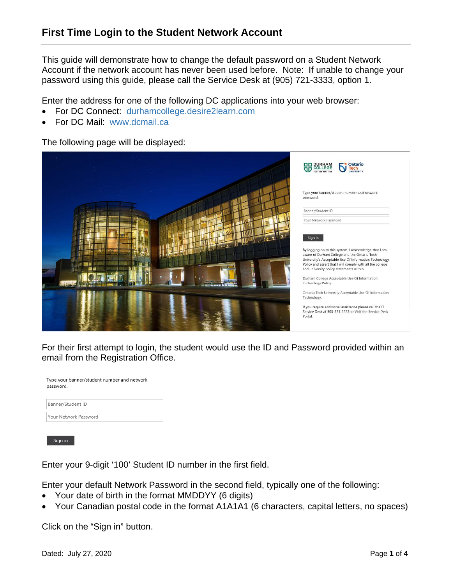This guide will demonstrate how to change the default password on a Student Network Account if the network account has never been used before. Note: If unable to change your password using this guide, please call the Service Desk at (905) 721-3333, option 1.

Enter the address for one of the following DC applications into your web browser:

- For DC Connect: durhamcollege.desire2learn.com
- For DC Mail: www.dcmail.ca

The following page will be displayed:



For their first attempt to login, the student would use the ID and Password provided within an email from the Registration Office.

| Type your banner/student number and network<br>password. |
|----------------------------------------------------------|
| Banner/Student ID                                        |
| Your Network Password                                    |

Sign in

Enter your 9-digit '100' Student ID number in the first field.

Enter your default Network Password in the second field, typically one of the following:

- Your date of birth in the format MMDDYY (6 digits)
- Your Canadian postal code in the format A1A1A1 (6 characters, capital letters, no spaces)

Click on the "Sign in" button.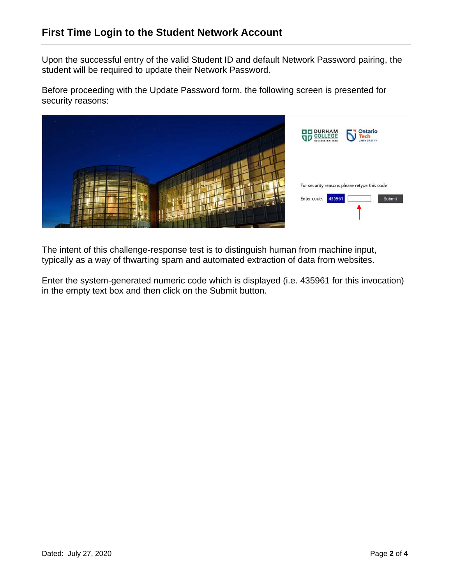Upon the successful entry of the valid Student ID and default Network Password pairing, the student will be required to update their Network Password.

Before proceeding with the Update Password form, the following screen is presented for security reasons:



The intent of this challenge-response test is to distinguish human from machine input, typically as a way of thwarting spam and automated extraction of data from websites.

Enter the system-generated numeric code which is displayed (i.e. 435961 for this invocation) in the empty text box and then click on the Submit button.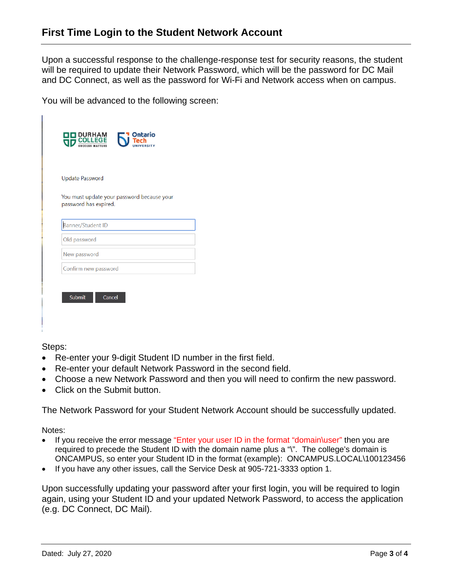Upon a successful response to the challenge-response test for security reasons, the student will be required to update their Network Password, which will be the password for DC Mail and DC Connect, as well as the password for Wi-Fi and Network access when on campus.

You will be advanced to the following screen:

| Update Password<br>You must update your password because your<br>password has expired. |
|----------------------------------------------------------------------------------------|
|                                                                                        |
|                                                                                        |
|                                                                                        |
|                                                                                        |
| Banner/Student ID                                                                      |
| Old password                                                                           |
| New password                                                                           |
| Confirm new password                                                                   |

Steps:

- Re-enter your 9-digit Student ID number in the first field.
- Re-enter your default Network Password in the second field.
- Choose a new Network Password and then you will need to confirm the new password.
- Click on the Submit button.

The Network Password for your Student Network Account should be successfully updated.

Notes:

- If you receive the error message "Enter your user ID in the format "domain\user" then you are required to precede the Student ID with the domain name plus a "\". The college's domain is ONCAMPUS, so enter your Student ID in the format (example): ONCAMPUS.LOCAL\100123456
- If you have any other issues, call the Service Desk at 905-721-3333 option 1.

Upon successfully updating your password after your first login, you will be required to login again, using your Student ID and your updated Network Password, to access the application (e.g. DC Connect, DC Mail).